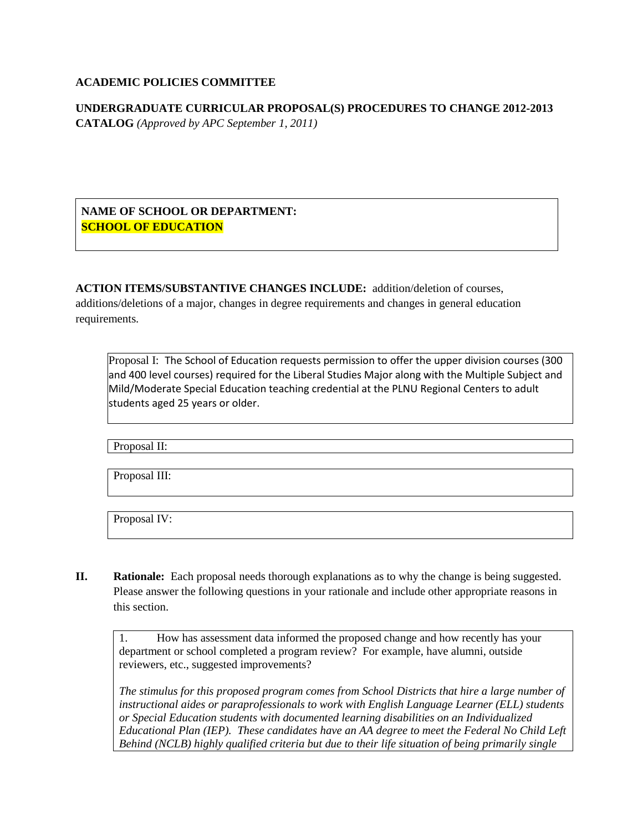#### **ACADEMIC POLICIES COMMITTEE**

**UNDERGRADUATE CURRICULAR PROPOSAL(S) PROCEDURES TO CHANGE 2012-2013 CATALOG** *(Approved by APC September 1, 2011)*

**NAME OF SCHOOL OR DEPARTMENT: SCHOOL OF EDUCATION**

**ACTION ITEMS/SUBSTANTIVE CHANGES INCLUDE:** addition/deletion of courses, additions/deletions of a major, changes in degree requirements and changes in general education requirements.

Proposal I: The School of Education requests permission to offer the upper division courses (300 and 400 level courses) required for the Liberal Studies Major along with the Multiple Subject and Mild/Moderate Special Education teaching credential at the PLNU Regional Centers to adult students aged 25 years or older.

Proposal II:

Proposal III:

Proposal IV:

**II. Rationale:** Each proposal needs thorough explanations as to why the change is being suggested. Please answer the following questions in your rationale and include other appropriate reasons in this section.

1. How has assessment data informed the proposed change and how recently has your department or school completed a program review? For example, have alumni, outside reviewers, etc., suggested improvements?

*The stimulus for this proposed program comes from School Districts that hire a large number of instructional aides or paraprofessionals to work with English Language Learner (ELL) students or Special Education students with documented learning disabilities on an Individualized Educational Plan (IEP). These candidates have an AA degree to meet the Federal No Child Left Behind (NCLB) highly qualified criteria but due to their life situation of being primarily single*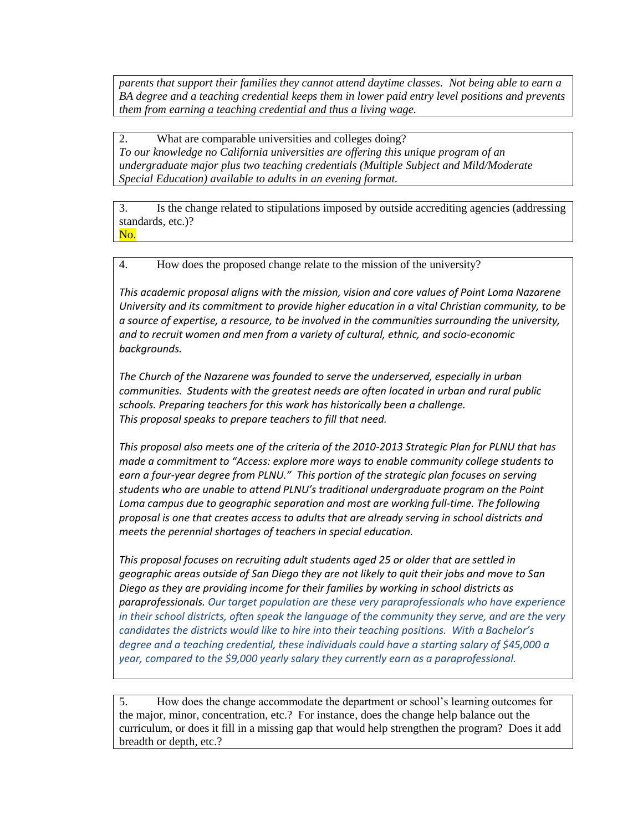*parents that support their families they cannot attend daytime classes. Not being able to earn a BA degree and a teaching credential keeps them in lower paid entry level positions and prevents them from earning a teaching credential and thus a living wage.* 

2. What are comparable universities and colleges doing? *To our knowledge no California universities are offering this unique program of an undergraduate major plus two teaching credentials (Multiple Subject and Mild/Moderate Special Education) available to adults in an evening format.* 

3. Is the change related to stipulations imposed by outside accrediting agencies (addressing standards, etc.)? No.

4. How does the proposed change relate to the mission of the university?

*This academic proposal aligns with the mission, vision and core values of Point Loma Nazarene University and its commitment to provide higher education in a vital Christian community, to be a source of expertise, a resource, to be involved in the communities surrounding the university, and to recruit women and men from a variety of cultural, ethnic, and socio-economic backgrounds.* 

*The Church of the Nazarene was founded to serve the underserved, especially in urban communities. Students with the greatest needs are often located in urban and rural public schools. Preparing teachers for this work has historically been a challenge. This proposal speaks to prepare teachers to fill that need.* 

*This proposal also meets one of the criteria of the 2010-2013 Strategic Plan for PLNU that has made a commitment to "Access: explore more ways to enable community college students to earn a four-year degree from PLNU." This portion of the strategic plan focuses on serving students who are unable to attend PLNU's traditional undergraduate program on the Point Loma campus due to geographic separation and most are working full-time. The following proposal is one that creates access to adults that are already serving in school districts and meets the perennial shortages of teachers in special education.* 

*This proposal focuses on recruiting adult students aged 25 or older that are settled in geographic areas outside of San Diego they are not likely to quit their jobs and move to San Diego as they are providing income for their families by working in school districts as paraprofessionals. Our target population are these very paraprofessionals who have experience in their school districts, often speak the language of the community they serve, and are the very candidates the districts would like to hire into their teaching positions. With a Bachelor's degree and a teaching credential, these individuals could have a starting salary of \$45,000 a year, compared to the \$9,000 yearly salary they currently earn as a paraprofessional.*

5. How does the change accommodate the department or school's learning outcomes for the major, minor, concentration, etc.? For instance, does the change help balance out the curriculum, or does it fill in a missing gap that would help strengthen the program? Does it add breadth or depth, etc.?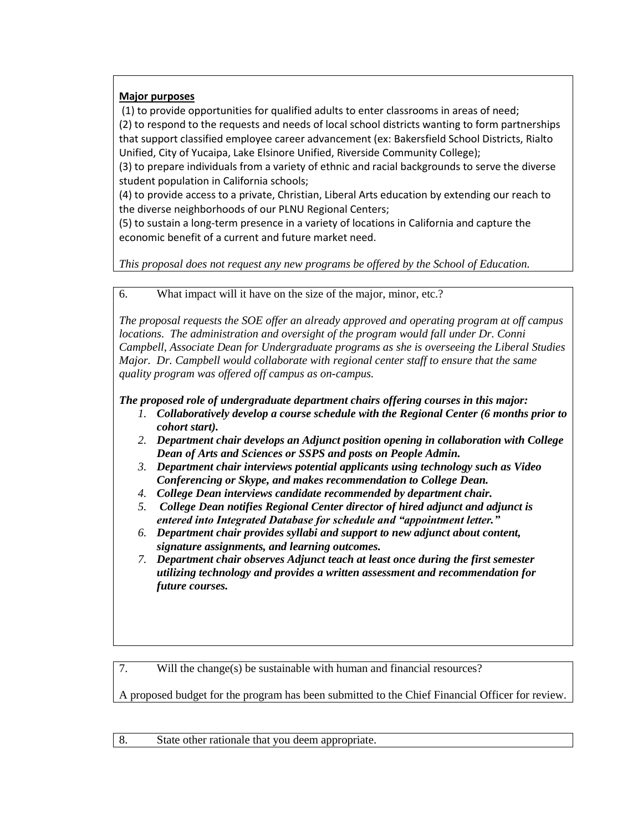# **Major purposes**

(1) to provide opportunities for qualified adults to enter classrooms in areas of need; (2) to respond to the requests and needs of local school districts wanting to form partnerships that support classified employee career advancement (ex: Bakersfield School Districts, Rialto Unified, City of Yucaipa, Lake Elsinore Unified, Riverside Community College);

(3) to prepare individuals from a variety of ethnic and racial backgrounds to serve the diverse student population in California schools;

(4) to provide access to a private, Christian, Liberal Arts education by extending our reach to the diverse neighborhoods of our PLNU Regional Centers;

(5) to sustain a long-term presence in a variety of locations in California and capture the economic benefit of a current and future market need.

*This proposal does not request any new programs be offered by the School of Education.* 

6. What impact will it have on the size of the major, minor, etc.?

*The proposal requests the SOE offer an already approved and operating program at off campus locations. The administration and oversight of the program would fall under Dr. Conni Campbell, Associate Dean for Undergraduate programs as she is overseeing the Liberal Studies Major. Dr. Campbell would collaborate with regional center staff to ensure that the same quality program was offered off campus as on-campus.* 

# *The proposed role of undergraduate department chairs offering courses in this major:*

- *1. Collaboratively develop a course schedule with the Regional Center (6 months prior to cohort start).*
- *2. Department chair develops an Adjunct position opening in collaboration with College Dean of Arts and Sciences or SSPS and posts on People Admin.*
- *3. Department chair interviews potential applicants using technology such as Video Conferencing or Skype, and makes recommendation to College Dean.*
- *4. College Dean interviews candidate recommended by department chair.*
- *5. College Dean notifies Regional Center director of hired adjunct and adjunct is entered into Integrated Database for schedule and "appointment letter."*
- *6. Department chair provides syllabi and support to new adjunct about content, signature assignments, and learning outcomes.*
- *7. Department chair observes Adjunct teach at least once during the first semester utilizing technology and provides a written assessment and recommendation for future courses.*

7. Will the change(s) be sustainable with human and financial resources?

A proposed budget for the program has been submitted to the Chief Financial Officer for review.

8. State other rationale that you deem appropriate.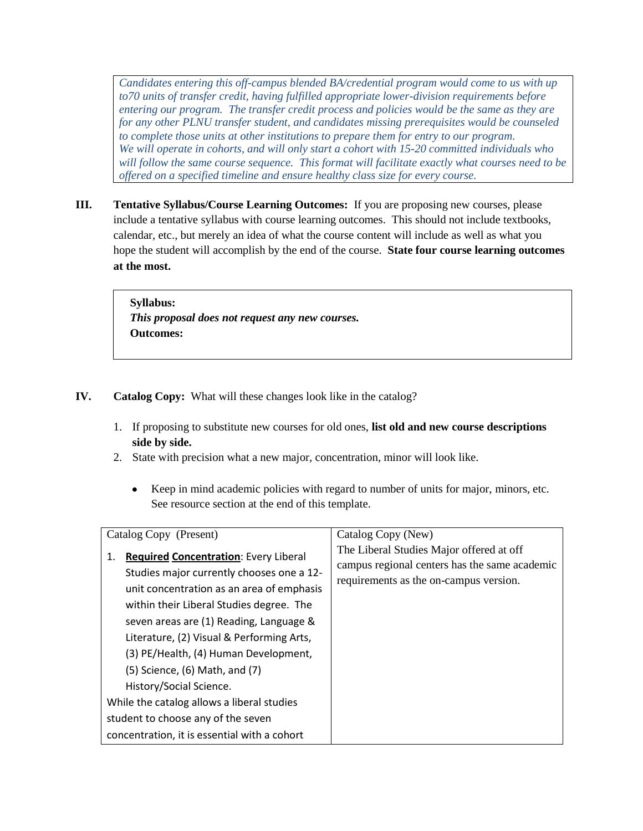*Candidates entering this off-campus blended BA/credential program would come to us with up to70 units of transfer credit, having fulfilled appropriate lower-division requirements before entering our program. The transfer credit process and policies would be the same as they are for any other PLNU transfer student, and candidates missing prerequisites would be counseled to complete those units at other institutions to prepare them for entry to our program. We will operate in cohorts, and will only start a cohort with 15-20 committed individuals who will follow the same course sequence. This format will facilitate exactly what courses need to be offered on a specified timeline and ensure healthy class size for every course.*

**III. Tentative Syllabus/Course Learning Outcomes:** If you are proposing new courses, please include a tentative syllabus with course learning outcomes. This should not include textbooks, calendar, etc., but merely an idea of what the course content will include as well as what you hope the student will accomplish by the end of the course. **State four course learning outcomes at the most.** 

> **Syllabus:** *This proposal does not request any new courses.*  **Outcomes:**

- **IV. Catalog Copy:** What will these changes look like in the catalog?
	- 1. If proposing to substitute new courses for old ones, **list old and new course descriptions side by side.**
	- 2. State with precision what a new major, concentration, minor will look like.
		- Keep in mind academic policies with regard to number of units for major, minors, etc.  $\bullet$ See resource section at the end of this template.

| Catalog Copy (Present)                                                                                                                                                                                                                                                                                                                                                                                                                                                                                                           | Catalog Copy (New)                                                                                                                  |
|----------------------------------------------------------------------------------------------------------------------------------------------------------------------------------------------------------------------------------------------------------------------------------------------------------------------------------------------------------------------------------------------------------------------------------------------------------------------------------------------------------------------------------|-------------------------------------------------------------------------------------------------------------------------------------|
| <b>Required Concentration: Every Liberal</b><br>1.<br>Studies major currently chooses one a 12-<br>unit concentration as an area of emphasis<br>within their Liberal Studies degree. The<br>seven areas are (1) Reading, Language &<br>Literature, (2) Visual & Performing Arts,<br>(3) PE/Health, (4) Human Development,<br>$(5)$ Science, $(6)$ Math, and $(7)$<br>History/Social Science.<br>While the catalog allows a liberal studies<br>student to choose any of the seven<br>concentration, it is essential with a cohort | The Liberal Studies Major offered at off<br>campus regional centers has the same academic<br>requirements as the on-campus version. |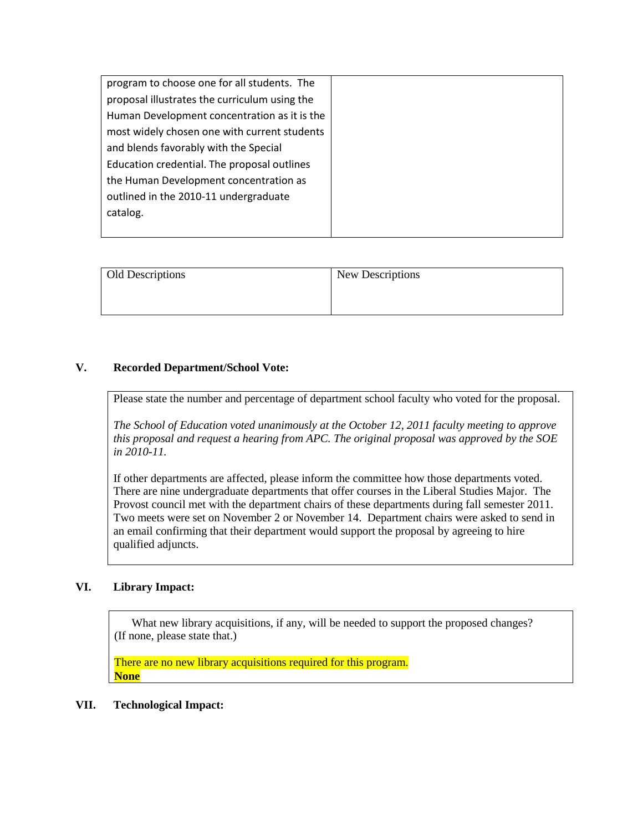| program to choose one for all students. The   |
|-----------------------------------------------|
| proposal illustrates the curriculum using the |
| Human Development concentration as it is the  |
| most widely chosen one with current students  |
| and blends favorably with the Special         |
| Education credential. The proposal outlines   |
| the Human Development concentration as        |
| outlined in the 2010-11 undergraduate         |
| catalog.                                      |
|                                               |

| Old Descriptions | New Descriptions |
|------------------|------------------|
|                  |                  |
|                  |                  |

## **V. Recorded Department/School Vote:**

Please state the number and percentage of department school faculty who voted for the proposal.

*The School of Education voted unanimously at the October 12, 2011 faculty meeting to approve this proposal and request a hearing from APC. The original proposal was approved by the SOE in 2010-11.* 

If other departments are affected, please inform the committee how those departments voted. There are nine undergraduate departments that offer courses in the Liberal Studies Major. The Provost council met with the department chairs of these departments during fall semester 2011. Two meets were set on November 2 or November 14. Department chairs were asked to send in an email confirming that their department would support the proposal by agreeing to hire qualified adjuncts.

#### **VI. Library Impact:**

What new library acquisitions, if any, will be needed to support the proposed changes? (If none, please state that.)

There are no new library acquisitions required for this program. **None**

#### **VII. Technological Impact:**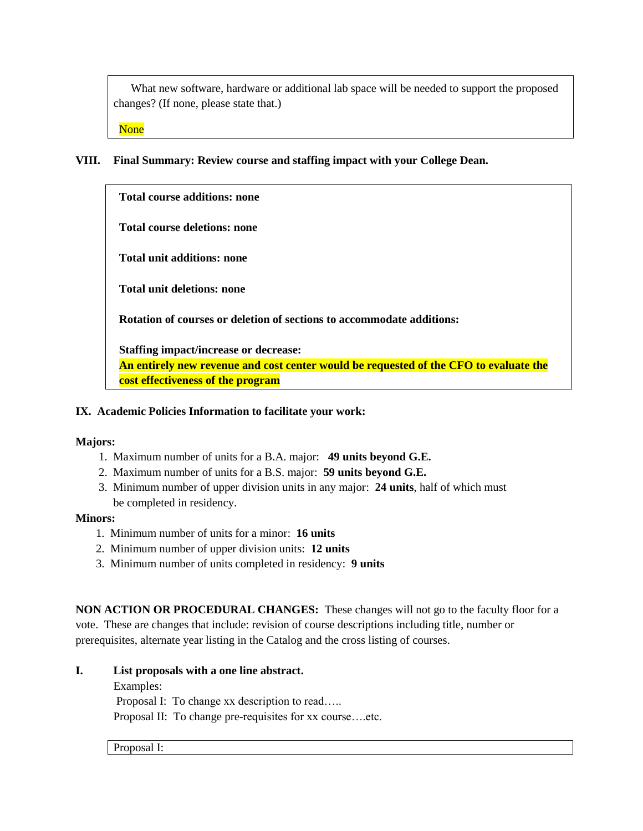What new software, hardware or additional lab space will be needed to support the proposed changes? (If none, please state that.)

None

## **VIII. Final Summary: Review course and staffing impact with your College Dean.**

**Total course additions: none**

**Total course deletions: none**

**Total unit additions: none**

**Total unit deletions: none**

**Rotation of courses or deletion of sections to accommodate additions:**

**Staffing impact/increase or decrease:**

**An entirely new revenue and cost center would be requested of the CFO to evaluate the cost effectiveness of the program**

#### **IX. Academic Policies Information to facilitate your work:**

#### **Majors:**

- 1. Maximum number of units for a B.A. major: **49 units beyond G.E.**
- 2. Maximum number of units for a B.S. major: **59 units beyond G.E.**
- 3. Minimum number of upper division units in any major: **24 units**, half of which must be completed in residency.

#### **Minors:**

- 1. Minimum number of units for a minor: **16 units**
- 2. Minimum number of upper division units: **12 units**
- 3. Minimum number of units completed in residency: **9 units**

**NON ACTION OR PROCEDURAL CHANGES:** These changes will not go to the faculty floor for a vote. These are changes that include: revision of course descriptions including title, number or prerequisites, alternate year listing in the Catalog and the cross listing of courses.

#### **I. List proposals with a one line abstract.**

#### Examples:

Proposal I: To change xx description to read…..

Proposal II: To change pre-requisites for xx course….etc.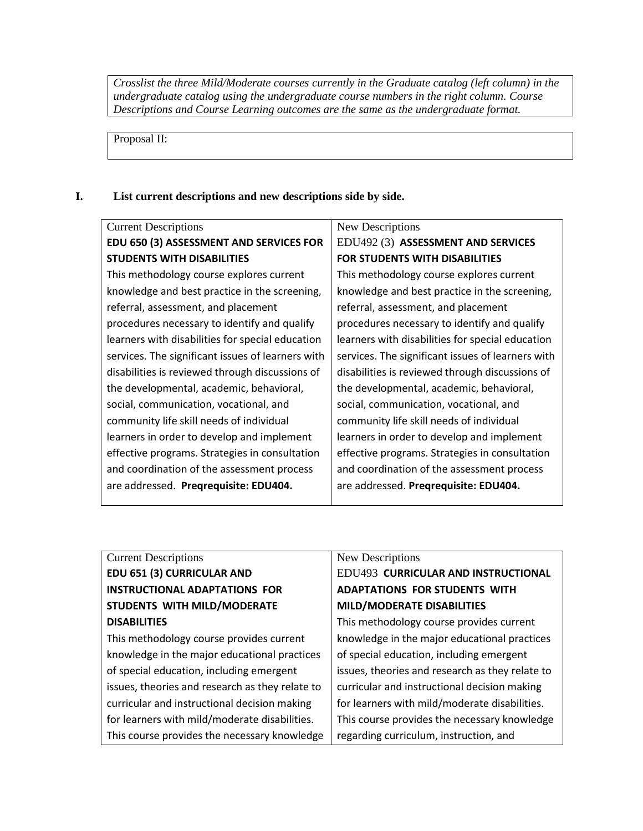*Crosslist the three Mild/Moderate courses currently in the Graduate catalog (left column) in the undergraduate catalog using the undergraduate course numbers in the right column. Course Descriptions and Course Learning outcomes are the same as the undergraduate format.* 

Proposal II:

## **I. List current descriptions and new descriptions side by side.**

| <b>Current Descriptions</b>                       | New Descriptions                                  |
|---------------------------------------------------|---------------------------------------------------|
| EDU 650 (3) ASSESSMENT AND SERVICES FOR           | EDU492 (3) ASSESSMENT AND SERVICES                |
| <b>STUDENTS WITH DISABILITIES</b>                 | <b>FOR STUDENTS WITH DISABILITIES</b>             |
| This methodology course explores current          | This methodology course explores current          |
| knowledge and best practice in the screening,     | knowledge and best practice in the screening,     |
| referral, assessment, and placement               | referral, assessment, and placement               |
| procedures necessary to identify and qualify      | procedures necessary to identify and qualify      |
| learners with disabilities for special education  | learners with disabilities for special education  |
| services. The significant issues of learners with | services. The significant issues of learners with |
| disabilities is reviewed through discussions of   | disabilities is reviewed through discussions of   |
| the developmental, academic, behavioral,          | the developmental, academic, behavioral,          |
| social, communication, vocational, and            | social, communication, vocational, and            |
| community life skill needs of individual          | community life skill needs of individual          |
| learners in order to develop and implement        | learners in order to develop and implement        |
| effective programs. Strategies in consultation    | effective programs. Strategies in consultation    |
| and coordination of the assessment process        | and coordination of the assessment process        |
| are addressed. Pregrequisite: EDU404.             | are addressed. Pregrequisite: EDU404.             |
|                                                   |                                                   |

# Current Descriptions **EDU 651 (3) CURRICULAR AND INSTRUCTIONAL ADAPTATIONS FOR STUDENTS WITH MILD/MODERATE DISABILITIES**

This methodology course provides current knowledge in the major educational practices of special education, including emergent issues, theories and research as they relate to curricular and instructional decision making for learners with mild/moderate disabilities. This course provides the necessary knowledge

#### New Descriptions

# EDU493 **CURRICULAR AND INSTRUCTIONAL ADAPTATIONS FOR STUDENTS WITH MILD/MODERATE DISABILITIES**

This methodology course provides current knowledge in the major educational practices of special education, including emergent issues, theories and research as they relate to curricular and instructional decision making for learners with mild/moderate disabilities. This course provides the necessary knowledge regarding curriculum, instruction, and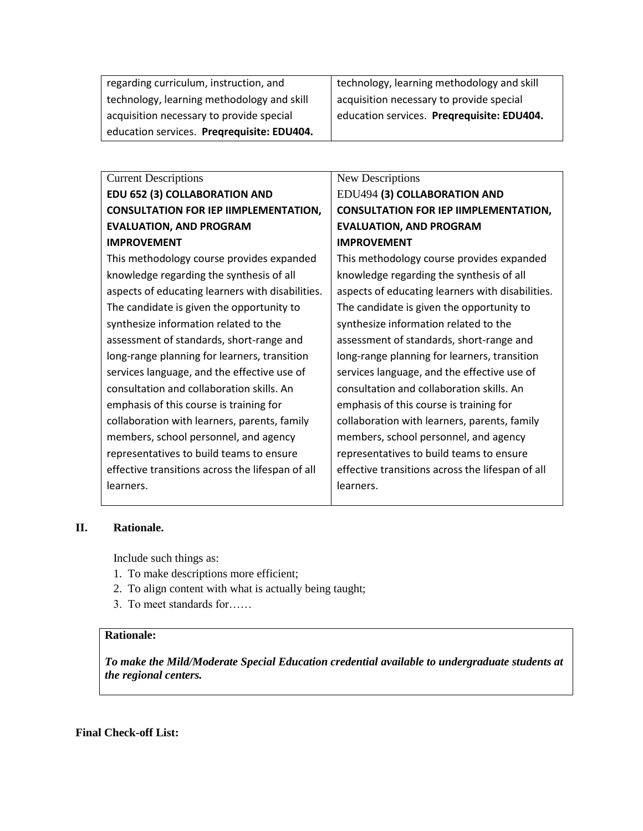| regarding curriculum, instruction, and     | technology, learning methodology and skill |
|--------------------------------------------|--------------------------------------------|
| technology, learning methodology and skill | acquisition necessary to provide special   |
| acquisition necessary to provide special   | education services. Pregrequisite: EDU404. |
| education services. Pregrequisite: EDU404. |                                            |

| <b>Current Descriptions</b>                      | New Descriptions                                 |
|--------------------------------------------------|--------------------------------------------------|
| <b>EDU 652 (3) COLLABORATION AND</b>             | EDU494 (3) COLLABORATION AND                     |
| <b>CONSULTATION FOR IEP IIMPLEMENTATION,</b>     | <b>CONSULTATION FOR IEP IIMPLEMENTATION,</b>     |
| <b>EVALUATION, AND PROGRAM</b>                   | <b>EVALUATION, AND PROGRAM</b>                   |
| <b>IMPROVEMENT</b>                               | <b>IMPROVEMENT</b>                               |
| This methodology course provides expanded        | This methodology course provides expanded        |
| knowledge regarding the synthesis of all         | knowledge regarding the synthesis of all         |
| aspects of educating learners with disabilities. | aspects of educating learners with disabilities. |
| The candidate is given the opportunity to        | The candidate is given the opportunity to        |
| synthesize information related to the            | synthesize information related to the            |
| assessment of standards, short-range and         | assessment of standards, short-range and         |
| long-range planning for learners, transition     | long-range planning for learners, transition     |
| services language, and the effective use of      | services language, and the effective use of      |
| consultation and collaboration skills. An        | consultation and collaboration skills. An        |
| emphasis of this course is training for          | emphasis of this course is training for          |
| collaboration with learners, parents, family     | collaboration with learners, parents, family     |
| members, school personnel, and agency            | members, school personnel, and agency            |
| representatives to build teams to ensure         | representatives to build teams to ensure         |
| effective transitions across the lifespan of all | effective transitions across the lifespan of all |
| learners.                                        | learners.                                        |
|                                                  |                                                  |

# **II. Rationale.**

Include such things as:

- 1. To make descriptions more efficient;
- 2. To align content with what is actually being taught;
- 3. To meet standards for……

## **Rationale:**

*To make the Mild/Moderate Special Education credential available to undergraduate students at the regional centers.* 

## **Final Check-off List:**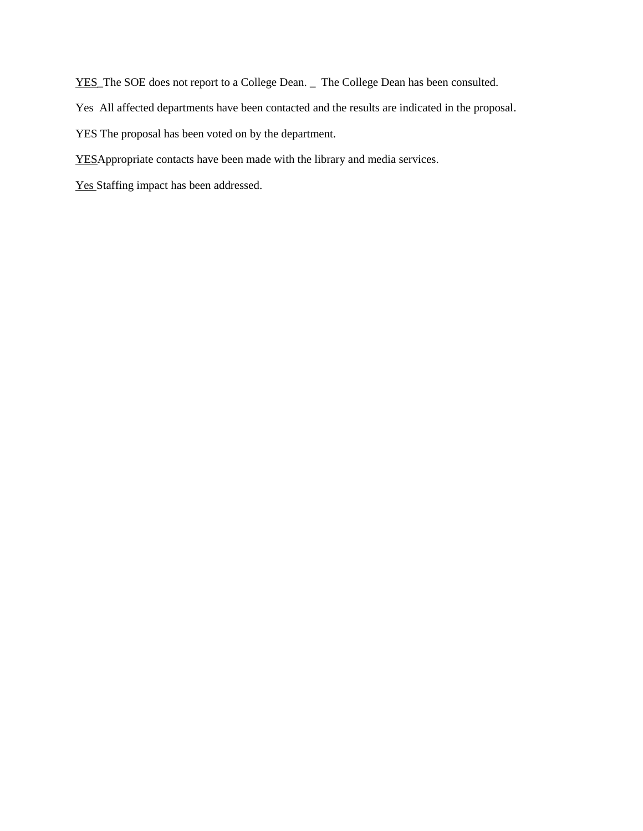YES\_The SOE does not report to a College Dean. \_ The College Dean has been consulted.

Yes All affected departments have been contacted and the results are indicated in the proposal.

YES The proposal has been voted on by the department.

YESAppropriate contacts have been made with the library and media services.

Yes Staffing impact has been addressed.